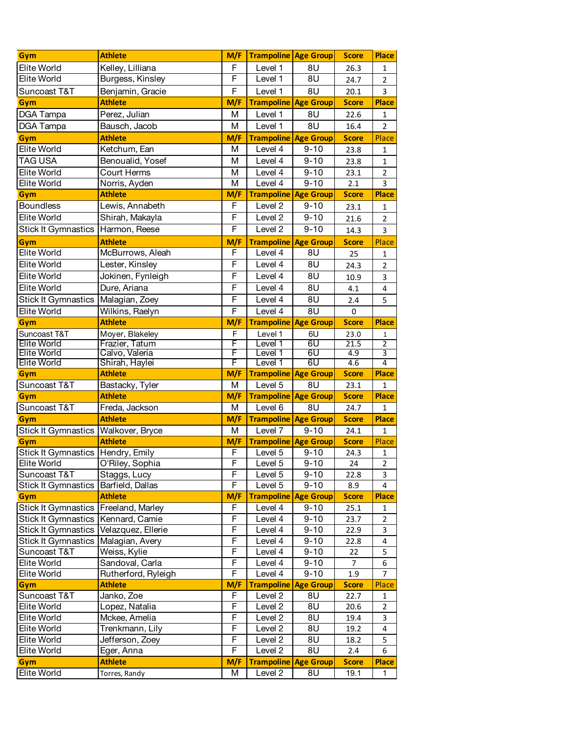| <b>Elite World</b><br>Kelley, Lilliana<br>F<br>8U<br>Level 1<br>26.3<br>1<br>Elite World<br>F<br>Burgess, Kinsley<br>Level 1<br>8U<br>24.7<br>$\overline{2}$<br>F<br>Suncoast T&T<br>8U<br>Benjamin, Gracie<br>Level 1<br>20.1<br>3<br><b>Athlete</b><br>M/F<br><b>Trampoline Age Group</b><br><b>Place</b><br><b>Score</b><br>Gym<br>DGA Tampa<br>Perez, Julian<br>M<br>Level 1<br>8U<br>22.6<br>1<br>Level 1<br>8U<br>DGA Tampa<br>M<br>Bausch, Jacob<br>16.4<br>$\overline{2}$<br><b>Athlete</b><br>M/F<br><b>Trampoline Age Group</b><br><b>Score</b><br>Place<br>Gym<br>Elite World<br>Ketchum, Ean<br>M<br>Level 4<br>$9 - 10$<br>23.8<br>1<br><b>TAG USA</b><br>Benoualid, Yosef<br>Level 4<br>м<br>$9 - 10$<br>23.8<br>1<br><b>Elite World</b><br>Court Herms<br>M<br>Level 4<br>$9 - 10$<br>23.1<br>$\overline{2}$<br><b>Elite World</b><br>M<br>Level 4<br>$9 - 10$<br>Norris, Ayden<br>2.1<br>3<br><b>Athlete</b><br>M/F<br><b>Trampoline Age Group</b><br><b>Place</b><br>Gym<br><b>Score</b><br><b>Boundless</b><br>F<br>Lewis, Annabeth<br>Level 2<br>$9 - 10$<br>23.1<br>$\mathbf{1}$<br>Elite World<br>F<br>Shirah, Makayla<br>Level 2<br>$9 - 10$<br>21.6<br>$\overline{2}$<br>F<br>$9 - 10$<br><b>Stick It Gymnastics</b><br>Harmon, Reese<br>Level 2<br>14.3<br>3<br>M/F<br><b>Athlete</b><br><b>Trampoline Age Group</b><br><b>Score</b><br>Place<br>Gym<br><b>Elite World</b><br>F<br>McBurrows, Aleah<br>Level 4<br>8U<br>25<br>1<br>F<br><b>Elite World</b><br>8U<br>Lester, Kinsley<br>Level 4<br>24.3<br>2<br>F<br>Elite World<br>8U<br>Jokinen, Fynleigh<br>Level 4<br>10.9<br>3<br>F<br><b>Elite World</b><br>8U<br>Dure, Ariana<br>Level 4<br>4.1<br>4<br>F<br>Stick It Gymnastics<br>Malagian, Zoey<br>Level 4<br>8U<br>2.4<br>5<br>8U<br>Elite World<br>Wilkins, Raelyn<br>F<br>Level 4<br>$\pmb{0}$<br><b>Athlete</b><br><b>Score</b><br>M/F<br><b>Trampoline Age Group</b><br><b>Place</b><br>Gym<br>Suncoast T&T<br>Moyer, Blakeley<br>F<br>Level 1<br>6U<br>23.0<br>1<br><b>Elite World</b><br>Frazier, Tatum<br>F<br>Level 1<br>60<br>21.5<br>$\overline{2}$<br>Elite World<br>F<br>6U<br>Calvo, Valeria<br>Level 1<br>4.9<br>3<br><b>Elite World</b><br>4<br>Shirah, Haylei<br>F<br>6U<br>4.6<br>Level 1<br><b>Athlete</b><br>M/F<br><b>Score</b><br><b>Place</b><br><b>Trampoline Age Group</b><br>Gym<br>M<br>Suncoast T&T<br>Bastacky, Tyler<br>Level 5<br>8U<br>23.1<br>$\mathbf{1}$<br>M/F<br><b>Athlete</b><br><b>Trampoline Age Group</b><br><b>Score</b><br><b>Place</b><br>Gym<br>Suncoast T&T<br>Freda, Jackson<br>M<br>Level 6<br>8U<br>24.7<br>$\mathbf{1}$<br><b>Athlete</b><br>M/F<br><b>Trampoline Age Group</b><br><b>Score</b><br><b>Place</b><br>Gym<br>Walkover, Bryce<br>Level 7<br>$9 - 10$<br><b>Stick It Gymnastics</b><br>M<br>24.1<br>$\mathbf{1}$<br><b>Athlete</b><br><b>Trampoline Age Group</b><br>M/F<br><b>Score</b><br>Place<br>Gym<br>F<br>Stick It Gymnastics   Hendry, Emily<br>Level $\overline{5}$<br>$9 - 10$<br>$\mathbf{1}$<br>24.3<br>Elite World<br>O'Riley, Sophia<br>$\overline{F}$<br>Level $\overline{5}$<br>$9 - 10$<br>24<br>$2^{\circ}$<br>F<br>Suncoast T&T<br>Staggs, Lucy<br>Level 5<br>$9 - 10$<br>3<br>22.8<br><b>Stick It Gymnastics</b><br>F<br>Barfield, Dallas<br>Level 5<br>$9 - 10$<br>8.9<br>4<br>M/F<br><b>Trampoline</b><br><b>Age Group</b><br><b>Athlete</b><br><b>Score</b><br><b>Place</b><br>Gym<br><b>Stick It Gymnastics</b><br>F<br>$9 - 10$<br>Freeland, Marley<br>Level 4<br>25.1<br>1<br>Stick It Gymnastics<br>F<br>Kennard, Camie<br>Level 4<br>$9 - 10$<br>23.7<br>2<br>Stick It Gymnastics<br>F<br>Velazquez, Ellerie<br>Level 4<br>$9 - 10$<br>22.9<br>3<br><b>Stick It Gymnastics</b><br>F<br>Malagian, Avery<br>Level 4<br>$9 - 10$<br>22.8<br>4<br>F<br>Suncoast T&T<br>Weiss, Kylie<br>Level 4<br>$9 - 10$<br>5<br>22<br>Elite World<br>F<br>$9 - 10$<br>Sandoval, Carla<br>Level 4<br>6<br>7<br>Elite World<br>F<br>$9 - 10$<br>Level 4<br>Rutherford, Ryleigh<br>1.9<br>7<br>Gym<br>M/F<br><b>Trampoline</b><br><b>Age Group</b><br><b>Athlete</b><br><b>Score</b><br>Place<br>F<br>Level 2<br>Suncoast T&T<br>Janko, Zoe<br>8U<br>22.7<br>1<br><b>Elite World</b><br>F<br>8U<br>Lopez, Natalia<br>Level 2<br>20.6<br>$\overline{2}$<br>Elite World<br>F<br>Mckee, Amelia<br>8U<br>Level 2<br>19.4<br>3<br><b>Elite World</b><br>F<br>Trenkmann, Lily<br>Level 2<br>8U<br>19.2<br>4<br>Elite World<br>F<br>Jefferson, Zoey<br>8U<br>Level 2<br>18.2<br>5<br>F<br>$\overline{8}$<br>Elite World<br>Level 2<br>Eger, Anna<br>2.4<br>6<br>M/F<br><b>Athlete</b><br><b>Trampoline Age Group</b><br><b>Score</b><br>Gym | Gym                | <b>Athlete</b> | M/F | <b>Trampoline Age Group</b> |    | <b>Score</b> | <b>Place</b> |
|---------------------------------------------------------------------------------------------------------------------------------------------------------------------------------------------------------------------------------------------------------------------------------------------------------------------------------------------------------------------------------------------------------------------------------------------------------------------------------------------------------------------------------------------------------------------------------------------------------------------------------------------------------------------------------------------------------------------------------------------------------------------------------------------------------------------------------------------------------------------------------------------------------------------------------------------------------------------------------------------------------------------------------------------------------------------------------------------------------------------------------------------------------------------------------------------------------------------------------------------------------------------------------------------------------------------------------------------------------------------------------------------------------------------------------------------------------------------------------------------------------------------------------------------------------------------------------------------------------------------------------------------------------------------------------------------------------------------------------------------------------------------------------------------------------------------------------------------------------------------------------------------------------------------------------------------------------------------------------------------------------------------------------------------------------------------------------------------------------------------------------------------------------------------------------------------------------------------------------------------------------------------------------------------------------------------------------------------------------------------------------------------------------------------------------------------------------------------------------------------------------------------------------------------------------------------------------------------------------------------------------------------------------------------------------------------------------------------------------------------------------------------------------------------------------------------------------------------------------------------------------------------------------------------------------------------------------------------------------------------------------------------------------------------------------------------------------------------------------------------------------------------------------------------------------------------------------------------------------------------------------------------------------------------------------------------------------------------------------------------------------------------------------------------------------------------------------------------------------------------------------------------------------------------------------------------------------------------------------------------------------------------------------------------------------------------------------------------------------------------------------------------------------------------------------------------------------------------------------------------------------------------------------------------------------------------------------------------------------------------------------------------------------------------------------------------------------------------------------------------------------------------------------------------------------------------------------------------------------------------------------------------------------------------------------------------------------------------------------------------------------------------------------------------------------------------------------------------------------------------------------------------------------------------------------------------------------------------------------------------------------------------|--------------------|----------------|-----|-----------------------------|----|--------------|--------------|
|                                                                                                                                                                                                                                                                                                                                                                                                                                                                                                                                                                                                                                                                                                                                                                                                                                                                                                                                                                                                                                                                                                                                                                                                                                                                                                                                                                                                                                                                                                                                                                                                                                                                                                                                                                                                                                                                                                                                                                                                                                                                                                                                                                                                                                                                                                                                                                                                                                                                                                                                                                                                                                                                                                                                                                                                                                                                                                                                                                                                                                                                                                                                                                                                                                                                                                                                                                                                                                                                                                                                                                                                                                                                                                                                                                                                                                                                                                                                                                                                                                                                                                                                                                                                                                                                                                                                                                                                                                                                                                                                                                                                                                             |                    |                |     |                             |    |              |              |
|                                                                                                                                                                                                                                                                                                                                                                                                                                                                                                                                                                                                                                                                                                                                                                                                                                                                                                                                                                                                                                                                                                                                                                                                                                                                                                                                                                                                                                                                                                                                                                                                                                                                                                                                                                                                                                                                                                                                                                                                                                                                                                                                                                                                                                                                                                                                                                                                                                                                                                                                                                                                                                                                                                                                                                                                                                                                                                                                                                                                                                                                                                                                                                                                                                                                                                                                                                                                                                                                                                                                                                                                                                                                                                                                                                                                                                                                                                                                                                                                                                                                                                                                                                                                                                                                                                                                                                                                                                                                                                                                                                                                                                             |                    |                |     |                             |    |              |              |
|                                                                                                                                                                                                                                                                                                                                                                                                                                                                                                                                                                                                                                                                                                                                                                                                                                                                                                                                                                                                                                                                                                                                                                                                                                                                                                                                                                                                                                                                                                                                                                                                                                                                                                                                                                                                                                                                                                                                                                                                                                                                                                                                                                                                                                                                                                                                                                                                                                                                                                                                                                                                                                                                                                                                                                                                                                                                                                                                                                                                                                                                                                                                                                                                                                                                                                                                                                                                                                                                                                                                                                                                                                                                                                                                                                                                                                                                                                                                                                                                                                                                                                                                                                                                                                                                                                                                                                                                                                                                                                                                                                                                                                             |                    |                |     |                             |    |              |              |
|                                                                                                                                                                                                                                                                                                                                                                                                                                                                                                                                                                                                                                                                                                                                                                                                                                                                                                                                                                                                                                                                                                                                                                                                                                                                                                                                                                                                                                                                                                                                                                                                                                                                                                                                                                                                                                                                                                                                                                                                                                                                                                                                                                                                                                                                                                                                                                                                                                                                                                                                                                                                                                                                                                                                                                                                                                                                                                                                                                                                                                                                                                                                                                                                                                                                                                                                                                                                                                                                                                                                                                                                                                                                                                                                                                                                                                                                                                                                                                                                                                                                                                                                                                                                                                                                                                                                                                                                                                                                                                                                                                                                                                             |                    |                |     |                             |    |              |              |
|                                                                                                                                                                                                                                                                                                                                                                                                                                                                                                                                                                                                                                                                                                                                                                                                                                                                                                                                                                                                                                                                                                                                                                                                                                                                                                                                                                                                                                                                                                                                                                                                                                                                                                                                                                                                                                                                                                                                                                                                                                                                                                                                                                                                                                                                                                                                                                                                                                                                                                                                                                                                                                                                                                                                                                                                                                                                                                                                                                                                                                                                                                                                                                                                                                                                                                                                                                                                                                                                                                                                                                                                                                                                                                                                                                                                                                                                                                                                                                                                                                                                                                                                                                                                                                                                                                                                                                                                                                                                                                                                                                                                                                             |                    |                |     |                             |    |              |              |
|                                                                                                                                                                                                                                                                                                                                                                                                                                                                                                                                                                                                                                                                                                                                                                                                                                                                                                                                                                                                                                                                                                                                                                                                                                                                                                                                                                                                                                                                                                                                                                                                                                                                                                                                                                                                                                                                                                                                                                                                                                                                                                                                                                                                                                                                                                                                                                                                                                                                                                                                                                                                                                                                                                                                                                                                                                                                                                                                                                                                                                                                                                                                                                                                                                                                                                                                                                                                                                                                                                                                                                                                                                                                                                                                                                                                                                                                                                                                                                                                                                                                                                                                                                                                                                                                                                                                                                                                                                                                                                                                                                                                                                             |                    |                |     |                             |    |              |              |
|                                                                                                                                                                                                                                                                                                                                                                                                                                                                                                                                                                                                                                                                                                                                                                                                                                                                                                                                                                                                                                                                                                                                                                                                                                                                                                                                                                                                                                                                                                                                                                                                                                                                                                                                                                                                                                                                                                                                                                                                                                                                                                                                                                                                                                                                                                                                                                                                                                                                                                                                                                                                                                                                                                                                                                                                                                                                                                                                                                                                                                                                                                                                                                                                                                                                                                                                                                                                                                                                                                                                                                                                                                                                                                                                                                                                                                                                                                                                                                                                                                                                                                                                                                                                                                                                                                                                                                                                                                                                                                                                                                                                                                             |                    |                |     |                             |    |              |              |
|                                                                                                                                                                                                                                                                                                                                                                                                                                                                                                                                                                                                                                                                                                                                                                                                                                                                                                                                                                                                                                                                                                                                                                                                                                                                                                                                                                                                                                                                                                                                                                                                                                                                                                                                                                                                                                                                                                                                                                                                                                                                                                                                                                                                                                                                                                                                                                                                                                                                                                                                                                                                                                                                                                                                                                                                                                                                                                                                                                                                                                                                                                                                                                                                                                                                                                                                                                                                                                                                                                                                                                                                                                                                                                                                                                                                                                                                                                                                                                                                                                                                                                                                                                                                                                                                                                                                                                                                                                                                                                                                                                                                                                             |                    |                |     |                             |    |              |              |
|                                                                                                                                                                                                                                                                                                                                                                                                                                                                                                                                                                                                                                                                                                                                                                                                                                                                                                                                                                                                                                                                                                                                                                                                                                                                                                                                                                                                                                                                                                                                                                                                                                                                                                                                                                                                                                                                                                                                                                                                                                                                                                                                                                                                                                                                                                                                                                                                                                                                                                                                                                                                                                                                                                                                                                                                                                                                                                                                                                                                                                                                                                                                                                                                                                                                                                                                                                                                                                                                                                                                                                                                                                                                                                                                                                                                                                                                                                                                                                                                                                                                                                                                                                                                                                                                                                                                                                                                                                                                                                                                                                                                                                             |                    |                |     |                             |    |              |              |
|                                                                                                                                                                                                                                                                                                                                                                                                                                                                                                                                                                                                                                                                                                                                                                                                                                                                                                                                                                                                                                                                                                                                                                                                                                                                                                                                                                                                                                                                                                                                                                                                                                                                                                                                                                                                                                                                                                                                                                                                                                                                                                                                                                                                                                                                                                                                                                                                                                                                                                                                                                                                                                                                                                                                                                                                                                                                                                                                                                                                                                                                                                                                                                                                                                                                                                                                                                                                                                                                                                                                                                                                                                                                                                                                                                                                                                                                                                                                                                                                                                                                                                                                                                                                                                                                                                                                                                                                                                                                                                                                                                                                                                             |                    |                |     |                             |    |              |              |
|                                                                                                                                                                                                                                                                                                                                                                                                                                                                                                                                                                                                                                                                                                                                                                                                                                                                                                                                                                                                                                                                                                                                                                                                                                                                                                                                                                                                                                                                                                                                                                                                                                                                                                                                                                                                                                                                                                                                                                                                                                                                                                                                                                                                                                                                                                                                                                                                                                                                                                                                                                                                                                                                                                                                                                                                                                                                                                                                                                                                                                                                                                                                                                                                                                                                                                                                                                                                                                                                                                                                                                                                                                                                                                                                                                                                                                                                                                                                                                                                                                                                                                                                                                                                                                                                                                                                                                                                                                                                                                                                                                                                                                             |                    |                |     |                             |    |              |              |
|                                                                                                                                                                                                                                                                                                                                                                                                                                                                                                                                                                                                                                                                                                                                                                                                                                                                                                                                                                                                                                                                                                                                                                                                                                                                                                                                                                                                                                                                                                                                                                                                                                                                                                                                                                                                                                                                                                                                                                                                                                                                                                                                                                                                                                                                                                                                                                                                                                                                                                                                                                                                                                                                                                                                                                                                                                                                                                                                                                                                                                                                                                                                                                                                                                                                                                                                                                                                                                                                                                                                                                                                                                                                                                                                                                                                                                                                                                                                                                                                                                                                                                                                                                                                                                                                                                                                                                                                                                                                                                                                                                                                                                             |                    |                |     |                             |    |              |              |
|                                                                                                                                                                                                                                                                                                                                                                                                                                                                                                                                                                                                                                                                                                                                                                                                                                                                                                                                                                                                                                                                                                                                                                                                                                                                                                                                                                                                                                                                                                                                                                                                                                                                                                                                                                                                                                                                                                                                                                                                                                                                                                                                                                                                                                                                                                                                                                                                                                                                                                                                                                                                                                                                                                                                                                                                                                                                                                                                                                                                                                                                                                                                                                                                                                                                                                                                                                                                                                                                                                                                                                                                                                                                                                                                                                                                                                                                                                                                                                                                                                                                                                                                                                                                                                                                                                                                                                                                                                                                                                                                                                                                                                             |                    |                |     |                             |    |              |              |
|                                                                                                                                                                                                                                                                                                                                                                                                                                                                                                                                                                                                                                                                                                                                                                                                                                                                                                                                                                                                                                                                                                                                                                                                                                                                                                                                                                                                                                                                                                                                                                                                                                                                                                                                                                                                                                                                                                                                                                                                                                                                                                                                                                                                                                                                                                                                                                                                                                                                                                                                                                                                                                                                                                                                                                                                                                                                                                                                                                                                                                                                                                                                                                                                                                                                                                                                                                                                                                                                                                                                                                                                                                                                                                                                                                                                                                                                                                                                                                                                                                                                                                                                                                                                                                                                                                                                                                                                                                                                                                                                                                                                                                             |                    |                |     |                             |    |              |              |
|                                                                                                                                                                                                                                                                                                                                                                                                                                                                                                                                                                                                                                                                                                                                                                                                                                                                                                                                                                                                                                                                                                                                                                                                                                                                                                                                                                                                                                                                                                                                                                                                                                                                                                                                                                                                                                                                                                                                                                                                                                                                                                                                                                                                                                                                                                                                                                                                                                                                                                                                                                                                                                                                                                                                                                                                                                                                                                                                                                                                                                                                                                                                                                                                                                                                                                                                                                                                                                                                                                                                                                                                                                                                                                                                                                                                                                                                                                                                                                                                                                                                                                                                                                                                                                                                                                                                                                                                                                                                                                                                                                                                                                             |                    |                |     |                             |    |              |              |
|                                                                                                                                                                                                                                                                                                                                                                                                                                                                                                                                                                                                                                                                                                                                                                                                                                                                                                                                                                                                                                                                                                                                                                                                                                                                                                                                                                                                                                                                                                                                                                                                                                                                                                                                                                                                                                                                                                                                                                                                                                                                                                                                                                                                                                                                                                                                                                                                                                                                                                                                                                                                                                                                                                                                                                                                                                                                                                                                                                                                                                                                                                                                                                                                                                                                                                                                                                                                                                                                                                                                                                                                                                                                                                                                                                                                                                                                                                                                                                                                                                                                                                                                                                                                                                                                                                                                                                                                                                                                                                                                                                                                                                             |                    |                |     |                             |    |              |              |
|                                                                                                                                                                                                                                                                                                                                                                                                                                                                                                                                                                                                                                                                                                                                                                                                                                                                                                                                                                                                                                                                                                                                                                                                                                                                                                                                                                                                                                                                                                                                                                                                                                                                                                                                                                                                                                                                                                                                                                                                                                                                                                                                                                                                                                                                                                                                                                                                                                                                                                                                                                                                                                                                                                                                                                                                                                                                                                                                                                                                                                                                                                                                                                                                                                                                                                                                                                                                                                                                                                                                                                                                                                                                                                                                                                                                                                                                                                                                                                                                                                                                                                                                                                                                                                                                                                                                                                                                                                                                                                                                                                                                                                             |                    |                |     |                             |    |              |              |
|                                                                                                                                                                                                                                                                                                                                                                                                                                                                                                                                                                                                                                                                                                                                                                                                                                                                                                                                                                                                                                                                                                                                                                                                                                                                                                                                                                                                                                                                                                                                                                                                                                                                                                                                                                                                                                                                                                                                                                                                                                                                                                                                                                                                                                                                                                                                                                                                                                                                                                                                                                                                                                                                                                                                                                                                                                                                                                                                                                                                                                                                                                                                                                                                                                                                                                                                                                                                                                                                                                                                                                                                                                                                                                                                                                                                                                                                                                                                                                                                                                                                                                                                                                                                                                                                                                                                                                                                                                                                                                                                                                                                                                             |                    |                |     |                             |    |              |              |
|                                                                                                                                                                                                                                                                                                                                                                                                                                                                                                                                                                                                                                                                                                                                                                                                                                                                                                                                                                                                                                                                                                                                                                                                                                                                                                                                                                                                                                                                                                                                                                                                                                                                                                                                                                                                                                                                                                                                                                                                                                                                                                                                                                                                                                                                                                                                                                                                                                                                                                                                                                                                                                                                                                                                                                                                                                                                                                                                                                                                                                                                                                                                                                                                                                                                                                                                                                                                                                                                                                                                                                                                                                                                                                                                                                                                                                                                                                                                                                                                                                                                                                                                                                                                                                                                                                                                                                                                                                                                                                                                                                                                                                             |                    |                |     |                             |    |              |              |
|                                                                                                                                                                                                                                                                                                                                                                                                                                                                                                                                                                                                                                                                                                                                                                                                                                                                                                                                                                                                                                                                                                                                                                                                                                                                                                                                                                                                                                                                                                                                                                                                                                                                                                                                                                                                                                                                                                                                                                                                                                                                                                                                                                                                                                                                                                                                                                                                                                                                                                                                                                                                                                                                                                                                                                                                                                                                                                                                                                                                                                                                                                                                                                                                                                                                                                                                                                                                                                                                                                                                                                                                                                                                                                                                                                                                                                                                                                                                                                                                                                                                                                                                                                                                                                                                                                                                                                                                                                                                                                                                                                                                                                             |                    |                |     |                             |    |              |              |
|                                                                                                                                                                                                                                                                                                                                                                                                                                                                                                                                                                                                                                                                                                                                                                                                                                                                                                                                                                                                                                                                                                                                                                                                                                                                                                                                                                                                                                                                                                                                                                                                                                                                                                                                                                                                                                                                                                                                                                                                                                                                                                                                                                                                                                                                                                                                                                                                                                                                                                                                                                                                                                                                                                                                                                                                                                                                                                                                                                                                                                                                                                                                                                                                                                                                                                                                                                                                                                                                                                                                                                                                                                                                                                                                                                                                                                                                                                                                                                                                                                                                                                                                                                                                                                                                                                                                                                                                                                                                                                                                                                                                                                             |                    |                |     |                             |    |              |              |
|                                                                                                                                                                                                                                                                                                                                                                                                                                                                                                                                                                                                                                                                                                                                                                                                                                                                                                                                                                                                                                                                                                                                                                                                                                                                                                                                                                                                                                                                                                                                                                                                                                                                                                                                                                                                                                                                                                                                                                                                                                                                                                                                                                                                                                                                                                                                                                                                                                                                                                                                                                                                                                                                                                                                                                                                                                                                                                                                                                                                                                                                                                                                                                                                                                                                                                                                                                                                                                                                                                                                                                                                                                                                                                                                                                                                                                                                                                                                                                                                                                                                                                                                                                                                                                                                                                                                                                                                                                                                                                                                                                                                                                             |                    |                |     |                             |    |              |              |
|                                                                                                                                                                                                                                                                                                                                                                                                                                                                                                                                                                                                                                                                                                                                                                                                                                                                                                                                                                                                                                                                                                                                                                                                                                                                                                                                                                                                                                                                                                                                                                                                                                                                                                                                                                                                                                                                                                                                                                                                                                                                                                                                                                                                                                                                                                                                                                                                                                                                                                                                                                                                                                                                                                                                                                                                                                                                                                                                                                                                                                                                                                                                                                                                                                                                                                                                                                                                                                                                                                                                                                                                                                                                                                                                                                                                                                                                                                                                                                                                                                                                                                                                                                                                                                                                                                                                                                                                                                                                                                                                                                                                                                             |                    |                |     |                             |    |              |              |
|                                                                                                                                                                                                                                                                                                                                                                                                                                                                                                                                                                                                                                                                                                                                                                                                                                                                                                                                                                                                                                                                                                                                                                                                                                                                                                                                                                                                                                                                                                                                                                                                                                                                                                                                                                                                                                                                                                                                                                                                                                                                                                                                                                                                                                                                                                                                                                                                                                                                                                                                                                                                                                                                                                                                                                                                                                                                                                                                                                                                                                                                                                                                                                                                                                                                                                                                                                                                                                                                                                                                                                                                                                                                                                                                                                                                                                                                                                                                                                                                                                                                                                                                                                                                                                                                                                                                                                                                                                                                                                                                                                                                                                             |                    |                |     |                             |    |              |              |
|                                                                                                                                                                                                                                                                                                                                                                                                                                                                                                                                                                                                                                                                                                                                                                                                                                                                                                                                                                                                                                                                                                                                                                                                                                                                                                                                                                                                                                                                                                                                                                                                                                                                                                                                                                                                                                                                                                                                                                                                                                                                                                                                                                                                                                                                                                                                                                                                                                                                                                                                                                                                                                                                                                                                                                                                                                                                                                                                                                                                                                                                                                                                                                                                                                                                                                                                                                                                                                                                                                                                                                                                                                                                                                                                                                                                                                                                                                                                                                                                                                                                                                                                                                                                                                                                                                                                                                                                                                                                                                                                                                                                                                             |                    |                |     |                             |    |              |              |
|                                                                                                                                                                                                                                                                                                                                                                                                                                                                                                                                                                                                                                                                                                                                                                                                                                                                                                                                                                                                                                                                                                                                                                                                                                                                                                                                                                                                                                                                                                                                                                                                                                                                                                                                                                                                                                                                                                                                                                                                                                                                                                                                                                                                                                                                                                                                                                                                                                                                                                                                                                                                                                                                                                                                                                                                                                                                                                                                                                                                                                                                                                                                                                                                                                                                                                                                                                                                                                                                                                                                                                                                                                                                                                                                                                                                                                                                                                                                                                                                                                                                                                                                                                                                                                                                                                                                                                                                                                                                                                                                                                                                                                             |                    |                |     |                             |    |              |              |
|                                                                                                                                                                                                                                                                                                                                                                                                                                                                                                                                                                                                                                                                                                                                                                                                                                                                                                                                                                                                                                                                                                                                                                                                                                                                                                                                                                                                                                                                                                                                                                                                                                                                                                                                                                                                                                                                                                                                                                                                                                                                                                                                                                                                                                                                                                                                                                                                                                                                                                                                                                                                                                                                                                                                                                                                                                                                                                                                                                                                                                                                                                                                                                                                                                                                                                                                                                                                                                                                                                                                                                                                                                                                                                                                                                                                                                                                                                                                                                                                                                                                                                                                                                                                                                                                                                                                                                                                                                                                                                                                                                                                                                             |                    |                |     |                             |    |              |              |
|                                                                                                                                                                                                                                                                                                                                                                                                                                                                                                                                                                                                                                                                                                                                                                                                                                                                                                                                                                                                                                                                                                                                                                                                                                                                                                                                                                                                                                                                                                                                                                                                                                                                                                                                                                                                                                                                                                                                                                                                                                                                                                                                                                                                                                                                                                                                                                                                                                                                                                                                                                                                                                                                                                                                                                                                                                                                                                                                                                                                                                                                                                                                                                                                                                                                                                                                                                                                                                                                                                                                                                                                                                                                                                                                                                                                                                                                                                                                                                                                                                                                                                                                                                                                                                                                                                                                                                                                                                                                                                                                                                                                                                             |                    |                |     |                             |    |              |              |
|                                                                                                                                                                                                                                                                                                                                                                                                                                                                                                                                                                                                                                                                                                                                                                                                                                                                                                                                                                                                                                                                                                                                                                                                                                                                                                                                                                                                                                                                                                                                                                                                                                                                                                                                                                                                                                                                                                                                                                                                                                                                                                                                                                                                                                                                                                                                                                                                                                                                                                                                                                                                                                                                                                                                                                                                                                                                                                                                                                                                                                                                                                                                                                                                                                                                                                                                                                                                                                                                                                                                                                                                                                                                                                                                                                                                                                                                                                                                                                                                                                                                                                                                                                                                                                                                                                                                                                                                                                                                                                                                                                                                                                             |                    |                |     |                             |    |              |              |
|                                                                                                                                                                                                                                                                                                                                                                                                                                                                                                                                                                                                                                                                                                                                                                                                                                                                                                                                                                                                                                                                                                                                                                                                                                                                                                                                                                                                                                                                                                                                                                                                                                                                                                                                                                                                                                                                                                                                                                                                                                                                                                                                                                                                                                                                                                                                                                                                                                                                                                                                                                                                                                                                                                                                                                                                                                                                                                                                                                                                                                                                                                                                                                                                                                                                                                                                                                                                                                                                                                                                                                                                                                                                                                                                                                                                                                                                                                                                                                                                                                                                                                                                                                                                                                                                                                                                                                                                                                                                                                                                                                                                                                             |                    |                |     |                             |    |              |              |
|                                                                                                                                                                                                                                                                                                                                                                                                                                                                                                                                                                                                                                                                                                                                                                                                                                                                                                                                                                                                                                                                                                                                                                                                                                                                                                                                                                                                                                                                                                                                                                                                                                                                                                                                                                                                                                                                                                                                                                                                                                                                                                                                                                                                                                                                                                                                                                                                                                                                                                                                                                                                                                                                                                                                                                                                                                                                                                                                                                                                                                                                                                                                                                                                                                                                                                                                                                                                                                                                                                                                                                                                                                                                                                                                                                                                                                                                                                                                                                                                                                                                                                                                                                                                                                                                                                                                                                                                                                                                                                                                                                                                                                             |                    |                |     |                             |    |              |              |
|                                                                                                                                                                                                                                                                                                                                                                                                                                                                                                                                                                                                                                                                                                                                                                                                                                                                                                                                                                                                                                                                                                                                                                                                                                                                                                                                                                                                                                                                                                                                                                                                                                                                                                                                                                                                                                                                                                                                                                                                                                                                                                                                                                                                                                                                                                                                                                                                                                                                                                                                                                                                                                                                                                                                                                                                                                                                                                                                                                                                                                                                                                                                                                                                                                                                                                                                                                                                                                                                                                                                                                                                                                                                                                                                                                                                                                                                                                                                                                                                                                                                                                                                                                                                                                                                                                                                                                                                                                                                                                                                                                                                                                             |                    |                |     |                             |    |              |              |
|                                                                                                                                                                                                                                                                                                                                                                                                                                                                                                                                                                                                                                                                                                                                                                                                                                                                                                                                                                                                                                                                                                                                                                                                                                                                                                                                                                                                                                                                                                                                                                                                                                                                                                                                                                                                                                                                                                                                                                                                                                                                                                                                                                                                                                                                                                                                                                                                                                                                                                                                                                                                                                                                                                                                                                                                                                                                                                                                                                                                                                                                                                                                                                                                                                                                                                                                                                                                                                                                                                                                                                                                                                                                                                                                                                                                                                                                                                                                                                                                                                                                                                                                                                                                                                                                                                                                                                                                                                                                                                                                                                                                                                             |                    |                |     |                             |    |              |              |
|                                                                                                                                                                                                                                                                                                                                                                                                                                                                                                                                                                                                                                                                                                                                                                                                                                                                                                                                                                                                                                                                                                                                                                                                                                                                                                                                                                                                                                                                                                                                                                                                                                                                                                                                                                                                                                                                                                                                                                                                                                                                                                                                                                                                                                                                                                                                                                                                                                                                                                                                                                                                                                                                                                                                                                                                                                                                                                                                                                                                                                                                                                                                                                                                                                                                                                                                                                                                                                                                                                                                                                                                                                                                                                                                                                                                                                                                                                                                                                                                                                                                                                                                                                                                                                                                                                                                                                                                                                                                                                                                                                                                                                             |                    |                |     |                             |    |              |              |
|                                                                                                                                                                                                                                                                                                                                                                                                                                                                                                                                                                                                                                                                                                                                                                                                                                                                                                                                                                                                                                                                                                                                                                                                                                                                                                                                                                                                                                                                                                                                                                                                                                                                                                                                                                                                                                                                                                                                                                                                                                                                                                                                                                                                                                                                                                                                                                                                                                                                                                                                                                                                                                                                                                                                                                                                                                                                                                                                                                                                                                                                                                                                                                                                                                                                                                                                                                                                                                                                                                                                                                                                                                                                                                                                                                                                                                                                                                                                                                                                                                                                                                                                                                                                                                                                                                                                                                                                                                                                                                                                                                                                                                             |                    |                |     |                             |    |              |              |
|                                                                                                                                                                                                                                                                                                                                                                                                                                                                                                                                                                                                                                                                                                                                                                                                                                                                                                                                                                                                                                                                                                                                                                                                                                                                                                                                                                                                                                                                                                                                                                                                                                                                                                                                                                                                                                                                                                                                                                                                                                                                                                                                                                                                                                                                                                                                                                                                                                                                                                                                                                                                                                                                                                                                                                                                                                                                                                                                                                                                                                                                                                                                                                                                                                                                                                                                                                                                                                                                                                                                                                                                                                                                                                                                                                                                                                                                                                                                                                                                                                                                                                                                                                                                                                                                                                                                                                                                                                                                                                                                                                                                                                             |                    |                |     |                             |    |              |              |
|                                                                                                                                                                                                                                                                                                                                                                                                                                                                                                                                                                                                                                                                                                                                                                                                                                                                                                                                                                                                                                                                                                                                                                                                                                                                                                                                                                                                                                                                                                                                                                                                                                                                                                                                                                                                                                                                                                                                                                                                                                                                                                                                                                                                                                                                                                                                                                                                                                                                                                                                                                                                                                                                                                                                                                                                                                                                                                                                                                                                                                                                                                                                                                                                                                                                                                                                                                                                                                                                                                                                                                                                                                                                                                                                                                                                                                                                                                                                                                                                                                                                                                                                                                                                                                                                                                                                                                                                                                                                                                                                                                                                                                             |                    |                |     |                             |    |              |              |
|                                                                                                                                                                                                                                                                                                                                                                                                                                                                                                                                                                                                                                                                                                                                                                                                                                                                                                                                                                                                                                                                                                                                                                                                                                                                                                                                                                                                                                                                                                                                                                                                                                                                                                                                                                                                                                                                                                                                                                                                                                                                                                                                                                                                                                                                                                                                                                                                                                                                                                                                                                                                                                                                                                                                                                                                                                                                                                                                                                                                                                                                                                                                                                                                                                                                                                                                                                                                                                                                                                                                                                                                                                                                                                                                                                                                                                                                                                                                                                                                                                                                                                                                                                                                                                                                                                                                                                                                                                                                                                                                                                                                                                             |                    |                |     |                             |    |              |              |
|                                                                                                                                                                                                                                                                                                                                                                                                                                                                                                                                                                                                                                                                                                                                                                                                                                                                                                                                                                                                                                                                                                                                                                                                                                                                                                                                                                                                                                                                                                                                                                                                                                                                                                                                                                                                                                                                                                                                                                                                                                                                                                                                                                                                                                                                                                                                                                                                                                                                                                                                                                                                                                                                                                                                                                                                                                                                                                                                                                                                                                                                                                                                                                                                                                                                                                                                                                                                                                                                                                                                                                                                                                                                                                                                                                                                                                                                                                                                                                                                                                                                                                                                                                                                                                                                                                                                                                                                                                                                                                                                                                                                                                             |                    |                |     |                             |    |              |              |
|                                                                                                                                                                                                                                                                                                                                                                                                                                                                                                                                                                                                                                                                                                                                                                                                                                                                                                                                                                                                                                                                                                                                                                                                                                                                                                                                                                                                                                                                                                                                                                                                                                                                                                                                                                                                                                                                                                                                                                                                                                                                                                                                                                                                                                                                                                                                                                                                                                                                                                                                                                                                                                                                                                                                                                                                                                                                                                                                                                                                                                                                                                                                                                                                                                                                                                                                                                                                                                                                                                                                                                                                                                                                                                                                                                                                                                                                                                                                                                                                                                                                                                                                                                                                                                                                                                                                                                                                                                                                                                                                                                                                                                             |                    |                |     |                             |    |              |              |
|                                                                                                                                                                                                                                                                                                                                                                                                                                                                                                                                                                                                                                                                                                                                                                                                                                                                                                                                                                                                                                                                                                                                                                                                                                                                                                                                                                                                                                                                                                                                                                                                                                                                                                                                                                                                                                                                                                                                                                                                                                                                                                                                                                                                                                                                                                                                                                                                                                                                                                                                                                                                                                                                                                                                                                                                                                                                                                                                                                                                                                                                                                                                                                                                                                                                                                                                                                                                                                                                                                                                                                                                                                                                                                                                                                                                                                                                                                                                                                                                                                                                                                                                                                                                                                                                                                                                                                                                                                                                                                                                                                                                                                             |                    |                |     |                             |    |              |              |
|                                                                                                                                                                                                                                                                                                                                                                                                                                                                                                                                                                                                                                                                                                                                                                                                                                                                                                                                                                                                                                                                                                                                                                                                                                                                                                                                                                                                                                                                                                                                                                                                                                                                                                                                                                                                                                                                                                                                                                                                                                                                                                                                                                                                                                                                                                                                                                                                                                                                                                                                                                                                                                                                                                                                                                                                                                                                                                                                                                                                                                                                                                                                                                                                                                                                                                                                                                                                                                                                                                                                                                                                                                                                                                                                                                                                                                                                                                                                                                                                                                                                                                                                                                                                                                                                                                                                                                                                                                                                                                                                                                                                                                             |                    |                |     |                             |    |              |              |
|                                                                                                                                                                                                                                                                                                                                                                                                                                                                                                                                                                                                                                                                                                                                                                                                                                                                                                                                                                                                                                                                                                                                                                                                                                                                                                                                                                                                                                                                                                                                                                                                                                                                                                                                                                                                                                                                                                                                                                                                                                                                                                                                                                                                                                                                                                                                                                                                                                                                                                                                                                                                                                                                                                                                                                                                                                                                                                                                                                                                                                                                                                                                                                                                                                                                                                                                                                                                                                                                                                                                                                                                                                                                                                                                                                                                                                                                                                                                                                                                                                                                                                                                                                                                                                                                                                                                                                                                                                                                                                                                                                                                                                             |                    |                |     |                             |    |              |              |
|                                                                                                                                                                                                                                                                                                                                                                                                                                                                                                                                                                                                                                                                                                                                                                                                                                                                                                                                                                                                                                                                                                                                                                                                                                                                                                                                                                                                                                                                                                                                                                                                                                                                                                                                                                                                                                                                                                                                                                                                                                                                                                                                                                                                                                                                                                                                                                                                                                                                                                                                                                                                                                                                                                                                                                                                                                                                                                                                                                                                                                                                                                                                                                                                                                                                                                                                                                                                                                                                                                                                                                                                                                                                                                                                                                                                                                                                                                                                                                                                                                                                                                                                                                                                                                                                                                                                                                                                                                                                                                                                                                                                                                             |                    |                |     |                             |    |              |              |
|                                                                                                                                                                                                                                                                                                                                                                                                                                                                                                                                                                                                                                                                                                                                                                                                                                                                                                                                                                                                                                                                                                                                                                                                                                                                                                                                                                                                                                                                                                                                                                                                                                                                                                                                                                                                                                                                                                                                                                                                                                                                                                                                                                                                                                                                                                                                                                                                                                                                                                                                                                                                                                                                                                                                                                                                                                                                                                                                                                                                                                                                                                                                                                                                                                                                                                                                                                                                                                                                                                                                                                                                                                                                                                                                                                                                                                                                                                                                                                                                                                                                                                                                                                                                                                                                                                                                                                                                                                                                                                                                                                                                                                             |                    |                |     |                             |    |              |              |
|                                                                                                                                                                                                                                                                                                                                                                                                                                                                                                                                                                                                                                                                                                                                                                                                                                                                                                                                                                                                                                                                                                                                                                                                                                                                                                                                                                                                                                                                                                                                                                                                                                                                                                                                                                                                                                                                                                                                                                                                                                                                                                                                                                                                                                                                                                                                                                                                                                                                                                                                                                                                                                                                                                                                                                                                                                                                                                                                                                                                                                                                                                                                                                                                                                                                                                                                                                                                                                                                                                                                                                                                                                                                                                                                                                                                                                                                                                                                                                                                                                                                                                                                                                                                                                                                                                                                                                                                                                                                                                                                                                                                                                             |                    |                |     |                             |    |              |              |
|                                                                                                                                                                                                                                                                                                                                                                                                                                                                                                                                                                                                                                                                                                                                                                                                                                                                                                                                                                                                                                                                                                                                                                                                                                                                                                                                                                                                                                                                                                                                                                                                                                                                                                                                                                                                                                                                                                                                                                                                                                                                                                                                                                                                                                                                                                                                                                                                                                                                                                                                                                                                                                                                                                                                                                                                                                                                                                                                                                                                                                                                                                                                                                                                                                                                                                                                                                                                                                                                                                                                                                                                                                                                                                                                                                                                                                                                                                                                                                                                                                                                                                                                                                                                                                                                                                                                                                                                                                                                                                                                                                                                                                             |                    |                |     |                             |    |              |              |
|                                                                                                                                                                                                                                                                                                                                                                                                                                                                                                                                                                                                                                                                                                                                                                                                                                                                                                                                                                                                                                                                                                                                                                                                                                                                                                                                                                                                                                                                                                                                                                                                                                                                                                                                                                                                                                                                                                                                                                                                                                                                                                                                                                                                                                                                                                                                                                                                                                                                                                                                                                                                                                                                                                                                                                                                                                                                                                                                                                                                                                                                                                                                                                                                                                                                                                                                                                                                                                                                                                                                                                                                                                                                                                                                                                                                                                                                                                                                                                                                                                                                                                                                                                                                                                                                                                                                                                                                                                                                                                                                                                                                                                             |                    |                |     |                             |    |              |              |
| <b>Place</b>                                                                                                                                                                                                                                                                                                                                                                                                                                                                                                                                                                                                                                                                                                                                                                                                                                                                                                                                                                                                                                                                                                                                                                                                                                                                                                                                                                                                                                                                                                                                                                                                                                                                                                                                                                                                                                                                                                                                                                                                                                                                                                                                                                                                                                                                                                                                                                                                                                                                                                                                                                                                                                                                                                                                                                                                                                                                                                                                                                                                                                                                                                                                                                                                                                                                                                                                                                                                                                                                                                                                                                                                                                                                                                                                                                                                                                                                                                                                                                                                                                                                                                                                                                                                                                                                                                                                                                                                                                                                                                                                                                                                                                |                    |                |     |                             |    |              |              |
|                                                                                                                                                                                                                                                                                                                                                                                                                                                                                                                                                                                                                                                                                                                                                                                                                                                                                                                                                                                                                                                                                                                                                                                                                                                                                                                                                                                                                                                                                                                                                                                                                                                                                                                                                                                                                                                                                                                                                                                                                                                                                                                                                                                                                                                                                                                                                                                                                                                                                                                                                                                                                                                                                                                                                                                                                                                                                                                                                                                                                                                                                                                                                                                                                                                                                                                                                                                                                                                                                                                                                                                                                                                                                                                                                                                                                                                                                                                                                                                                                                                                                                                                                                                                                                                                                                                                                                                                                                                                                                                                                                                                                                             |                    |                |     |                             |    |              |              |
|                                                                                                                                                                                                                                                                                                                                                                                                                                                                                                                                                                                                                                                                                                                                                                                                                                                                                                                                                                                                                                                                                                                                                                                                                                                                                                                                                                                                                                                                                                                                                                                                                                                                                                                                                                                                                                                                                                                                                                                                                                                                                                                                                                                                                                                                                                                                                                                                                                                                                                                                                                                                                                                                                                                                                                                                                                                                                                                                                                                                                                                                                                                                                                                                                                                                                                                                                                                                                                                                                                                                                                                                                                                                                                                                                                                                                                                                                                                                                                                                                                                                                                                                                                                                                                                                                                                                                                                                                                                                                                                                                                                                                                             |                    |                |     |                             |    |              |              |
|                                                                                                                                                                                                                                                                                                                                                                                                                                                                                                                                                                                                                                                                                                                                                                                                                                                                                                                                                                                                                                                                                                                                                                                                                                                                                                                                                                                                                                                                                                                                                                                                                                                                                                                                                                                                                                                                                                                                                                                                                                                                                                                                                                                                                                                                                                                                                                                                                                                                                                                                                                                                                                                                                                                                                                                                                                                                                                                                                                                                                                                                                                                                                                                                                                                                                                                                                                                                                                                                                                                                                                                                                                                                                                                                                                                                                                                                                                                                                                                                                                                                                                                                                                                                                                                                                                                                                                                                                                                                                                                                                                                                                                             |                    |                |     |                             |    |              |              |
|                                                                                                                                                                                                                                                                                                                                                                                                                                                                                                                                                                                                                                                                                                                                                                                                                                                                                                                                                                                                                                                                                                                                                                                                                                                                                                                                                                                                                                                                                                                                                                                                                                                                                                                                                                                                                                                                                                                                                                                                                                                                                                                                                                                                                                                                                                                                                                                                                                                                                                                                                                                                                                                                                                                                                                                                                                                                                                                                                                                                                                                                                                                                                                                                                                                                                                                                                                                                                                                                                                                                                                                                                                                                                                                                                                                                                                                                                                                                                                                                                                                                                                                                                                                                                                                                                                                                                                                                                                                                                                                                                                                                                                             | <b>Elite World</b> | Torres, Randy  | M   | Level 2                     | 8U | 19.1         | $\mathbf{1}$ |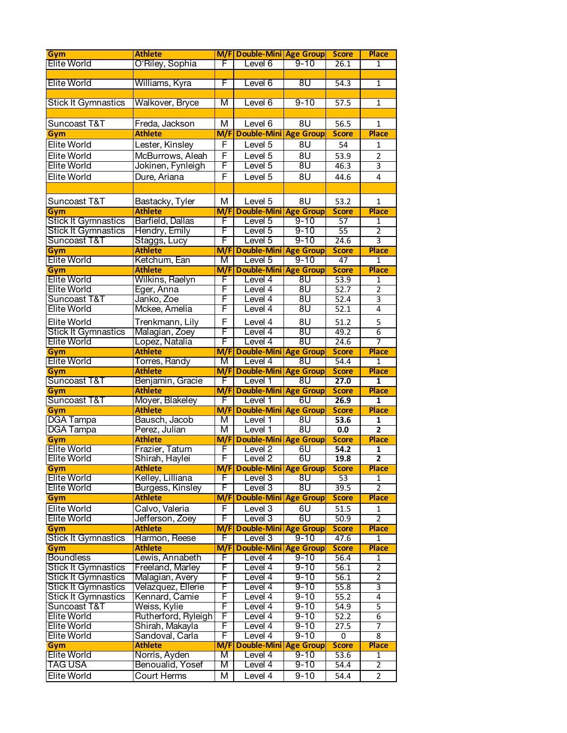| Gym                                  | <b>Athlete</b>                    |          | M/F Double-Mini Age Group        |                        | <b>Score</b>         | <b>Place</b>                     |
|--------------------------------------|-----------------------------------|----------|----------------------------------|------------------------|----------------------|----------------------------------|
| <b>Elite World</b>                   | O'Riley, Sophia                   | F        | Level 6                          | $9 - 10$               | 26.1                 | 1                                |
|                                      |                                   |          |                                  |                        |                      |                                  |
| <b>Elite World</b>                   | Williams, Kyra                    | F        | Level 6                          | 8U                     | 54.3                 | 1                                |
|                                      |                                   |          |                                  |                        |                      |                                  |
| <b>Stick It Gymnastics</b>           | Walkover, Bryce                   | М        | Level 6                          | $9 - 10$               | $\overline{57.5}$    | 1                                |
|                                      |                                   |          |                                  |                        |                      |                                  |
| Suncoast T&T                         | Freda, Jackson                    | М        | Level 6                          | 8U                     | 56.5                 | $\mathbf{1}$                     |
| Gym                                  | <b>Athlete</b>                    | M/F      | <b>Double-Mini</b>               | <b>Age Group</b>       | <b>Score</b>         | <b>Place</b>                     |
| Elite World                          | Lester, Kinsley                   | F        | Level 5                          | 8U                     | 54                   | 1                                |
| Elite World                          | McBurrows, Aleah                  | F        | Level 5                          | 8U                     | 53.9                 | $\overline{2}$                   |
| Elite World                          | Jokinen, Fynleigh                 | F        | Level 5                          | 8U                     | 46.3                 | 3                                |
| Elite World                          | Dure, Ariana                      | F        | Level 5                          | 8U                     | 44.6                 | 4                                |
|                                      |                                   |          |                                  |                        |                      |                                  |
| Suncoast T&T                         |                                   | М        | Level 5                          | 8U                     | 53.2                 | $\mathbf{1}$                     |
| Gym                                  | Bastacky, Tyler<br><b>Athlete</b> |          | <b>M/F Double-Mini Age Group</b> |                        | <b>Score</b>         | <b>Place</b>                     |
| <b>Stick It Gymnastics</b>           | Barfield, Dallas                  | F        | Level 5                          | $9 - 10$               | 57                   | 1                                |
| Stick It Gymnastics                  | Hendry, Emily                     | F        | Level 5                          | $9 - 10$               | 55                   | $\overline{2}$                   |
| Suncoast T&T                         | Staggs, Lucy                      | F        | Level 5                          | $9 - 10$               | 24.6                 | $\overline{3}$                   |
| Gym                                  | <b>Athlete</b>                    | M/F      | <b>Double-Mini</b>               | <b>Age Group</b>       | <b>Score</b>         | <b>Place</b>                     |
| <b>Elite World</b>                   | Ketchum, Ean                      | M        | Level 5                          | $9 - 10$               | 47                   | 1                                |
| Gym                                  | <b>Athlete</b>                    | M/F      | <b>Double-Mini</b>               | <b>Age Group</b>       | <b>Score</b>         | <b>Place</b>                     |
| <b>Elite World</b>                   | Wilkins, Raelyn                   | F        | Level 4                          | 8U                     | 53.9                 | 1                                |
| <b>Elite World</b>                   | Eger, Anna                        | F        | Level 4                          | 8 <sub>U</sub>         | 52.7                 | $\overline{2}$                   |
| Suncoast T&T                         | Janko, Zoe                        | F        | Level 4                          | 8U                     | 52.4                 | 3                                |
| Elite World                          | Mckee, Amelia                     | F        | Level 4                          | 8 <sub>U</sub>         | 52.1                 | 4                                |
| Elite World                          |                                   | F        | Level 4                          | 8U                     | 51.2                 | 5                                |
| <b>Stick It Gymnastics</b>           | Trenkmann, Lily<br>Malagian, Zoey | F        | Level 4                          | 8 <sub>U</sub>         | 49.2                 | $\overline{6}$                   |
| <b>Elite World</b>                   | Lopez, Natalia                    | F        | Level 4                          | 8 <sub>U</sub>         | 24.6                 | 7                                |
| Gym                                  | <b>Athlete</b>                    | M/F      | <b>Double-Mini</b>               | <b>Age Group</b>       | <b>Score</b>         | <b>Place</b>                     |
| <b>Elite World</b>                   | Torres, Randy                     | M        | Level 4                          | 8 <sub>U</sub>         | 54.4                 | 1                                |
| Gym                                  | <b>Athlete</b>                    | M/F      | <b>Double-Mini</b>               | <b>Age Group</b>       | <b>Score</b>         | <b>Place</b>                     |
| Suncoast T&T                         | Benjamin, Gracie                  | F        |                                  |                        |                      |                                  |
|                                      |                                   |          |                                  |                        |                      |                                  |
|                                      |                                   |          | Level 1                          | 8U                     | 27.0                 | 1                                |
| Gym                                  | <b>Athlete</b>                    | M/F<br>F | <b>Double-Mini</b>               | <b>Age Group</b>       | <b>Score</b><br>26.9 | <b>Place</b><br>1                |
| Suncoast T&T                         | Moyer, Blakeley                   | M/F      | Level 1                          | 6U                     | <b>Score</b>         | <b>Place</b>                     |
| Gym                                  | <b>Athlete</b><br>Bausch, Jacob   | M        | Double-Mini<br>Level 1           | <b>Age Group</b><br>8U | 53.6                 | 1                                |
| <b>DGA</b> Tampa<br><b>DGA Tampa</b> | Perez, Julian                     | M        | Level 1                          | 8 <sub>U</sub>         | 0.0                  | $\overline{\mathbf{2}}$          |
| Gym                                  | <b>Athlete</b>                    |          | M/F Double-Mini Age Group        |                        | <b>Score</b>         | <b>Place</b>                     |
| <b>Elite World</b>                   | Frazier, Tatum                    | F        | Level 2                          | 6U                     | 54.2                 | 1                                |
| <b>Elite World</b>                   | Shirah, Haylei                    | F        | Level 2                          | 6U                     | 19.8                 | $\overline{2}$                   |
| <b>Gym</b>                           | <b>Athlete</b>                    | M/FI     | <b>Double-Mini Age Group</b>     |                        | <b>Score</b>         | <b>Place</b>                     |
| <b>Elite World</b>                   | Kelley, Lilliana                  | F        | Level 3                          | 8 <sub>U</sub>         | 53                   | 1                                |
| <b>Elite World</b>                   | Burgess, Kinsley                  | F.       | Level 3                          | 8 <sub>U</sub>         | 39.5                 | 2                                |
| Gym                                  | <b>Athlete</b>                    | M/F      | <b>Double-Mini</b>               | <b>Age Group</b>       | <b>Score</b>         | <b>Place</b>                     |
| Elite World                          | Calvo, Valeria                    | F        | Level 3                          | 6U                     | 51.5                 | 1                                |
| Elite World                          | Jefferson, Zoey                   | F        | Level 3                          | 6U                     | 50.9                 | $\overline{2}$                   |
| Gym                                  | <b>Athlete</b>                    | M/F      | <b>Double-Mini</b>               | <b>Age Group</b>       | <b>Score</b>         | <b>Place</b>                     |
| <b>Stick It Gymnastics</b>           | Harmon, Reese                     | F        | Level 3                          | $9 - 10$               | 47.6                 | $\mathbf{1}$                     |
| Gym                                  | <b>Athlete</b>                    | M/F      | <b>Double-Mini</b>               | <b>Age Group</b>       | <b>Score</b>         | <b>Place</b>                     |
| <b>Boundless</b>                     | Lewis, Annabeth                   | F        | Level 4                          | $9 - 10$               | 56.4                 | 1                                |
| <b>Stick It Gymnastics</b>           | Freeland, Marley                  | F        | Level 4                          | $9 - 10$               | 56.1                 | 2                                |
| <b>Stick It Gymnastics</b>           | Malagian, Avery                   | F        | Level 4                          | $9 - 10$               | 56.1                 | $\overline{2}$                   |
| <b>Stick It Gymnastics</b>           | Velazquez, Ellerie                | F        | Level 4                          | $9 - 10$               | 55.8                 | 3                                |
| <b>Stick It Gymnastics</b>           | Kennard, Camie                    | F        | Level 4                          | $9 - 10$               | 55.2                 | 4                                |
| Suncoast T&T                         | Weiss, Kylie                      | F        | Level 4                          | $9 - 10$               | 54.9                 | 5                                |
| <b>Elite World</b>                   | Rutherford, Ryleigh               | F        | Level 4                          | $9 - 10$               | 52.2                 | $\overline{6}$                   |
| <b>Elite World</b>                   | Shirah, Makayla                   | F        | Level 4                          | $9 - 10$               | 27.5                 | 7                                |
| Elite World                          | Sandoval, Carla                   | F        | Level 4                          | $9 - 10$               | 0                    | 8                                |
| <b>Gym</b>                           | <b>Athlete</b>                    | M/F      | <b>Double-Mini</b>               | <b>Age Group</b>       | <b>Score</b>         | <b>Place</b>                     |
| <b>Elite World</b>                   | Norris, Ayden                     | M        | Level 4                          | $9 - 10$               | 53.6                 | 1                                |
| <b>TAG USA</b><br>Elite World        | Benoualid, Yosef<br>Court Herms   | Μ<br>M   | Level 4<br>Level 4               | $9 - 10$<br>$9 - 10$   | 54.4<br>54.4         | $\overline{2}$<br>$\overline{2}$ |